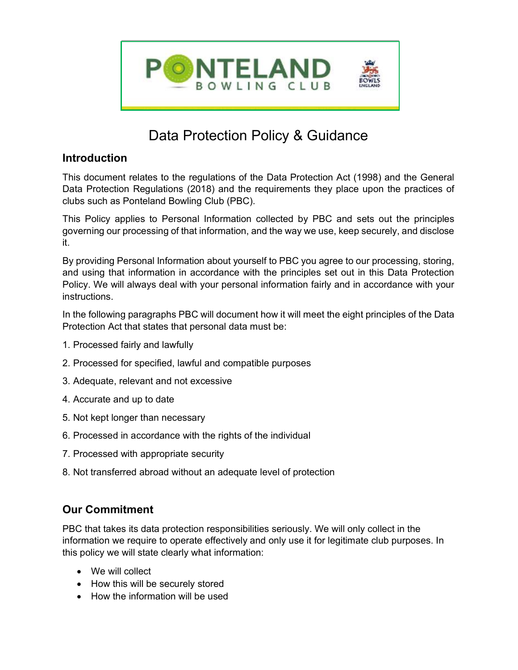

# Data Protection Policy & Guidance

## **Introduction**

This document relates to the regulations of the Data Protection Act (1998) and the General Data Protection Regulations (2018) and the requirements they place upon the practices of clubs such as Ponteland Bowling Club (PBC).

This Policy applies to Personal Information collected by PBC and sets out the principles governing our processing of that information, and the way we use, keep securely, and disclose it.

By providing Personal Information about yourself to PBC you agree to our processing, storing, and using that information in accordance with the principles set out in this Data Protection Policy. We will always deal with your personal information fairly and in accordance with your instructions.

In the following paragraphs PBC will document how it will meet the eight principles of the Data Protection Act that states that personal data must be:

- 1. Processed fairly and lawfully
- 2. Processed for specified, lawful and compatible purposes
- 3. Adequate, relevant and not excessive
- 4. Accurate and up to date
- 5. Not kept longer than necessary
- 6. Processed in accordance with the rights of the individual
- 7. Processed with appropriate security
- 8. Not transferred abroad without an adequate level of protection

# Our Commitment

PBC that takes its data protection responsibilities seriously. We will only collect in the information we require to operate effectively and only use it for legitimate club purposes. In this policy we will state clearly what information:

- We will collect
- How this will be securely stored
- How the information will be used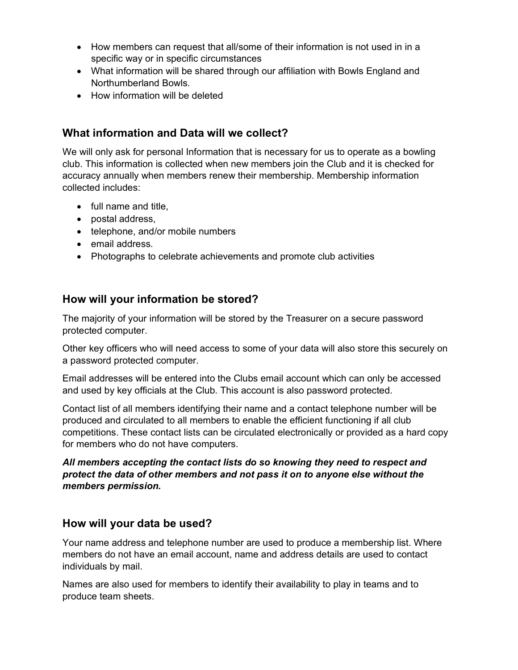- How members can request that all/some of their information is not used in in a specific way or in specific circumstances
- What information will be shared through our affiliation with Bowls England and Northumberland Bowls.
- How information will be deleted

## What information and Data will we collect?

We will only ask for personal Information that is necessary for us to operate as a bowling club. This information is collected when new members join the Club and it is checked for accuracy annually when members renew their membership. Membership information collected includes:

- full name and title,
- postal address,
- telephone, and/or mobile numbers
- email address.
- Photographs to celebrate achievements and promote club activities

### How will your information be stored?

The majority of your information will be stored by the Treasurer on a secure password protected computer.

Other key officers who will need access to some of your data will also store this securely on a password protected computer.

Email addresses will be entered into the Clubs email account which can only be accessed and used by key officials at the Club. This account is also password protected.

Contact list of all members identifying their name and a contact telephone number will be produced and circulated to all members to enable the efficient functioning if all club competitions. These contact lists can be circulated electronically or provided as a hard copy for members who do not have computers.

All members accepting the contact lists do so knowing they need to respect and protect the data of other members and not pass it on to anyone else without the members permission.

### How will your data be used?

Your name address and telephone number are used to produce a membership list. Where members do not have an email account, name and address details are used to contact individuals by mail.

Names are also used for members to identify their availability to play in teams and to produce team sheets.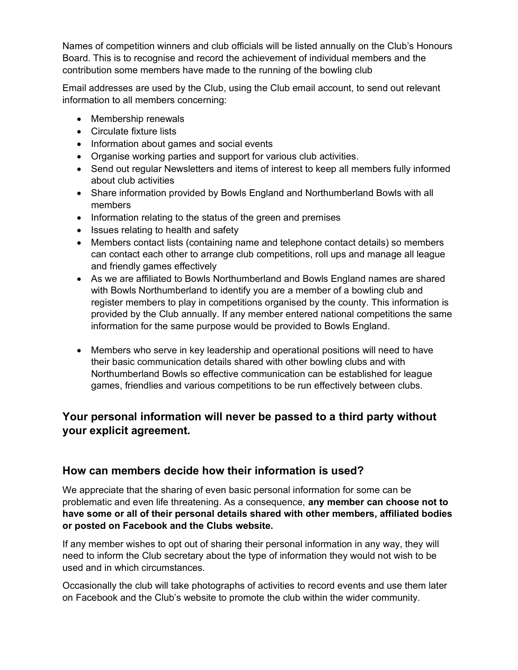Names of competition winners and club officials will be listed annually on the Club's Honours Board. This is to recognise and record the achievement of individual members and the contribution some members have made to the running of the bowling club

Email addresses are used by the Club, using the Club email account, to send out relevant information to all members concerning:

- Membership renewals
- Circulate fixture lists
- Information about games and social events
- Organise working parties and support for various club activities.
- Send out regular Newsletters and items of interest to keep all members fully informed about club activities
- Share information provided by Bowls England and Northumberland Bowls with all members
- Information relating to the status of the green and premises
- Issues relating to health and safety
- Members contact lists (containing name and telephone contact details) so members can contact each other to arrange club competitions, roll ups and manage all league and friendly games effectively
- As we are affiliated to Bowls Northumberland and Bowls England names are shared with Bowls Northumberland to identify you are a member of a bowling club and register members to play in competitions organised by the county. This information is provided by the Club annually. If any member entered national competitions the same information for the same purpose would be provided to Bowls England.
- Members who serve in key leadership and operational positions will need to have their basic communication details shared with other bowling clubs and with Northumberland Bowls so effective communication can be established for league games, friendlies and various competitions to be run effectively between clubs.

## Your personal information will never be passed to a third party without your explicit agreement.

#### How can members decide how their information is used?

We appreciate that the sharing of even basic personal information for some can be problematic and even life threatening. As a consequence, any member can choose not to have some or all of their personal details shared with other members, affiliated bodies or posted on Facebook and the Clubs website.

If any member wishes to opt out of sharing their personal information in any way, they will need to inform the Club secretary about the type of information they would not wish to be used and in which circumstances.

Occasionally the club will take photographs of activities to record events and use them later on Facebook and the Club's website to promote the club within the wider community.